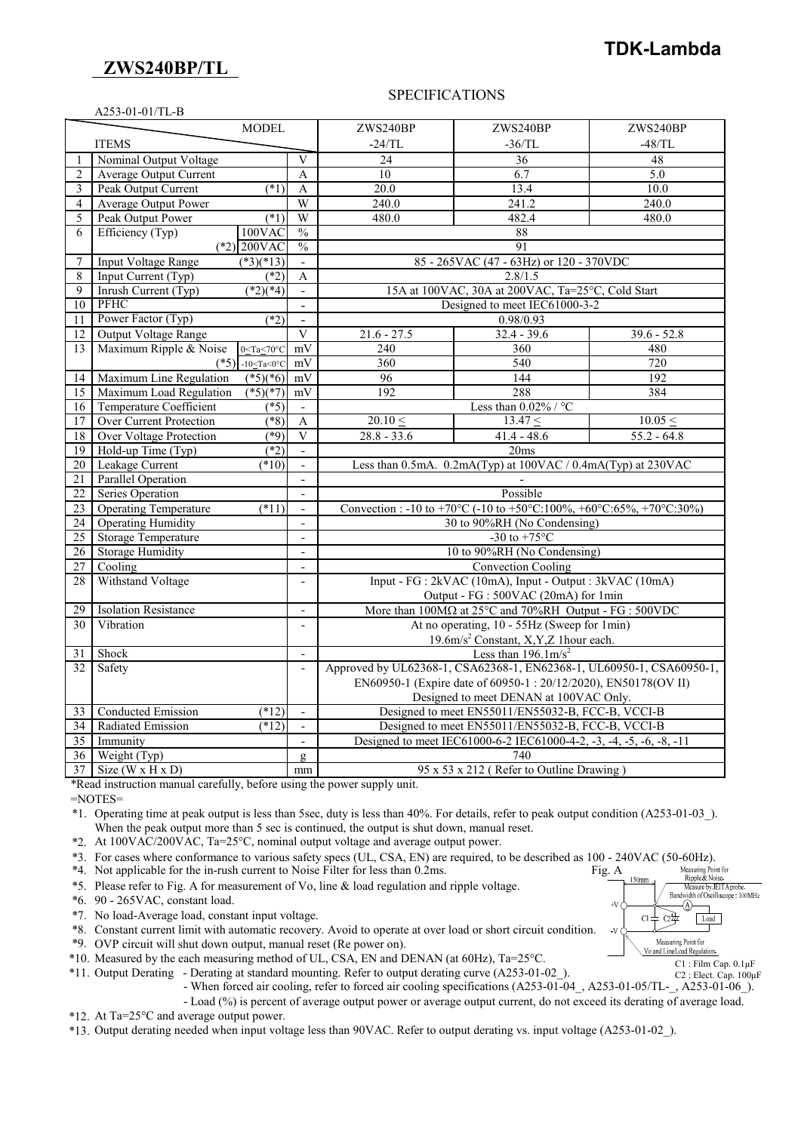## **ZWS240BP/TL**

# **TDK-Lambda**

#### SPECIFICATIONS

|                 | A253-01-01/TL-B                |                               |                            |                                                                                |               |               |  |  |  |
|-----------------|--------------------------------|-------------------------------|----------------------------|--------------------------------------------------------------------------------|---------------|---------------|--|--|--|
|                 |                                | <b>MODEL</b>                  |                            | ZWS240BP                                                                       | ZWS240BP      | ZWS240BP      |  |  |  |
|                 | <b>ITEMS</b>                   |                               |                            | $-24/TL$                                                                       | $-36/TL$      | $-48/TL$      |  |  |  |
| 1               | Nominal Output Voltage         |                               | V                          | 24                                                                             | 36            | 48            |  |  |  |
| $\overline{2}$  | Average Output Current         |                               | $\overline{A}$             | 10                                                                             | 6.7           | 5.0           |  |  |  |
| 3               | Peak Output Current            | $(*1)$                        | A                          | 20.0                                                                           | 13.4          | 10.0          |  |  |  |
| $\overline{4}$  | <b>Average Output Power</b>    |                               | W                          | 240.0                                                                          | 241.2         | 240.0         |  |  |  |
| 5               | Peak Output Power              | (1)                           | W                          | 480.0                                                                          | 482.4         | 480.0         |  |  |  |
| 6               | Efficiency (Typ)               | 100VAC                        | $\sqrt[0]{\mathstrut}_{0}$ |                                                                                | 88            |               |  |  |  |
|                 | $(*2)$ 200VAC<br>$\frac{0}{0}$ |                               |                            | 91                                                                             |               |               |  |  |  |
| $\overline{7}$  | <b>Input Voltage Range</b>     | $(*3)(*13)$                   | $\mathbf{r}$               | 85 - 265VAC (47 - 63Hz) or 120 - 370VDC                                        |               |               |  |  |  |
| 8               | Input Current (Typ)            | $\overline{(^*2)}$            | A                          | 2.8/1.5                                                                        |               |               |  |  |  |
| 9               | Inrush Current (Typ)           | $\sqrt{(*2)(*4)}$             |                            | 15A at 100VAC, 30A at 200VAC, Ta=25°C, Cold Start                              |               |               |  |  |  |
| 10              | <b>PFHC</b>                    |                               | $\blacksquare$             | Designed to meet IEC61000-3-2                                                  |               |               |  |  |  |
| 11              | Power Factor (Typ)             | $(*2)$                        | $\blacksquare$             | 0.98/0.93                                                                      |               |               |  |  |  |
| 12              | Output Voltage Range           |                               | $\overline{\mathbf{V}}$    | $21.6 - 27.5$                                                                  | $32.4 - 39.6$ | $39.6 - 52.8$ |  |  |  |
| 13              | Maximum Ripple & Noise         | $0 \leq Ta \leq 70^{\circ}C$  | mV                         | 240                                                                            | 360           | 480           |  |  |  |
|                 | $(*5)$                         | $-10 \leq Ta \leq 0^{\circ}C$ | mV                         | 360                                                                            | 540           | 720           |  |  |  |
| 14              | Maximum Line Regulation        | $(*5)(*6)$                    | mV                         | 96                                                                             | 144           | 192           |  |  |  |
| 15              | Maximum Load Regulation        | $(*5)(*7)$                    | mV                         | 192                                                                            | 288           | 384           |  |  |  |
| 16              | Temperature Coefficient        | $(*5)$                        |                            | Less than $0.02\%$ / °C                                                        |               |               |  |  |  |
| 17              | <b>Over Current Protection</b> | $(\sqrt[*]{8})$               | A                          | $20.10 \le$                                                                    | $13.47 \le$   | 10.05 <       |  |  |  |
| 18              | <b>Over Voltage Protection</b> | (89)                          | V                          | $28.8 - 33.6$                                                                  | $41.4 - 48.6$ | $55.2 - 64.8$ |  |  |  |
| 19              | Hold-up Time (Typ)             | $(*2)$                        | $\mathbf{r}$               |                                                                                | 20ms          |               |  |  |  |
| 20              | Leakage Current                | (10)                          | $\blacksquare$             | Less than 0.5mA. 0.2mA(Typ) at 100VAC / 0.4mA(Typ) at 230VAC                   |               |               |  |  |  |
| $\overline{21}$ | <b>Parallel Operation</b>      |                               |                            |                                                                                |               |               |  |  |  |
| $\overline{22}$ | Series Operation               |                               | $\blacksquare$             | Possible                                                                       |               |               |  |  |  |
| $\overline{23}$ | <b>Operating Temperature</b>   | $(*11)$                       | $\overline{\phantom{a}}$   | Convection : -10 to +70°C (-10 to +50°C:100%, +60°C:65%, +70°C:30%)            |               |               |  |  |  |
| 24              | <b>Operating Humidity</b>      |                               | $\overline{a}$             | 30 to 90%RH (No Condensing)                                                    |               |               |  |  |  |
| 25              | <b>Storage Temperature</b>     |                               | $\overline{\phantom{a}}$   | -30 to $+75^{\circ}$ C                                                         |               |               |  |  |  |
| 26              | <b>Storage Humidity</b>        |                               | $\overline{a}$             | 10 to 90%RH (No Condensing)                                                    |               |               |  |  |  |
| $\overline{27}$ | Cooling                        |                               | $\overline{\phantom{a}}$   | <b>Convection Cooling</b>                                                      |               |               |  |  |  |
| 28              | Withstand Voltage              |                               | $\blacksquare$             | Input - FG : 2kVAC (10mA), Input - Output : 3kVAC (10mA)                       |               |               |  |  |  |
|                 |                                |                               |                            | Output - FG : 500VAC (20mA) for 1min                                           |               |               |  |  |  |
| 29              | <b>Isolation Resistance</b>    |                               | $\blacksquare$             | More than $100M\Omega$ at $25^{\circ}$ C and $70\%$ RH Output - FG : $500$ VDC |               |               |  |  |  |
| 30              | Vibration                      |                               | $\overline{a}$             | At no operating, 10 - 55Hz (Sweep for 1min)                                    |               |               |  |  |  |
|                 |                                |                               |                            | 19.6m/s <sup>2</sup> Constant, X, Y, Z 1 hour each.                            |               |               |  |  |  |
| 31              | Shock                          |                               | $\overline{a}$             | Less than $196.1 \text{m/s}^2$                                                 |               |               |  |  |  |
| 32              | Safety                         |                               |                            | Approved by UL62368-1, CSA62368-1, EN62368-1, UL60950-1, CSA60950-1,           |               |               |  |  |  |
|                 |                                |                               |                            | EN60950-1 (Expire date of 60950-1:20/12/2020), EN50178(OV II)                  |               |               |  |  |  |
|                 |                                |                               |                            | Designed to meet DENAN at 100VAC Only.                                         |               |               |  |  |  |
| 33              | <b>Conducted Emission</b>      | $(*12)$                       |                            | Designed to meet EN55011/EN55032-B, FCC-B, VCCI-B                              |               |               |  |  |  |
| 34              | Radiated Emission              | $(*12)$                       | $\overline{\phantom{a}}$   | Designed to meet EN55011/EN55032-B, FCC-B, VCCI-B                              |               |               |  |  |  |
| $\overline{35}$ | Immunity                       |                               |                            | Designed to meet IEC61000-6-2 IEC61000-4-2, -3, -4, -5, -6, -8, -11            |               |               |  |  |  |
| $\overline{36}$ | Weight (Typ)                   |                               | Q.                         | 740                                                                            |               |               |  |  |  |
| 37 <sup>1</sup> | Size ( $W \times H \times D$ ) |                               | mm                         | 95 x 53 x 212 (Refer to Outline Drawing)                                       |               |               |  |  |  |

\*Read instruction manual carefully, before using the power supply unit.

=NOTES=

\*1. Operating time at peak output is less than 5sec, duty is less than 40%. For details, refer to peak output condition (A253-01-03\_). When the peak output more than 5 sec is continued, the output is shut down, manual reset.

\*2. At 100VAC/200VAC, Ta=25°C, nominal output voltage and average output power.

\*3. For cases where conformance to various safety specs (UL, CSA, EN) are required, to be described as 100 - 240VAC (50-60Hz).

\*4. Not applicable for the in-rush current to Noise Filter for less than 0.2ms. Fig. A

\*5. Please refer to Fig. A for measurement of Vo, line & load regulation and ripple voltage.

\*6. 90 - 265VAC, constant load.

\*7. No load-Average load, constant input voltage.

\*8. Constant current limit with automatic recovery. Avoid to operate at over load or short circuit condition.

\*9. OVP circuit will shut down output, manual reset (Re power on).

\*10. Measured by the each measuring method of UL, CSA, EN and DENAN (at 60Hz), Ta=25°C.

\*11. Output Derating - Derating at standard mounting. Refer to output derating curve (A253-01-02\_).

- When forced air cooling, refer to forced air cooling specifications (A253-01-04\_, A253-01-05/TL-\_, A253-01-06\_).

- Load (%) is percent of average output power or average output current, do not exceed its derating of average load.

\*12. At Ta=25°C and average output power.

\*13. Output derating needed when input voltage less than 90VAC. Refer to output derating vs. input voltage (A253-01-02\_).



C2 : Elect. Cap. 100μF